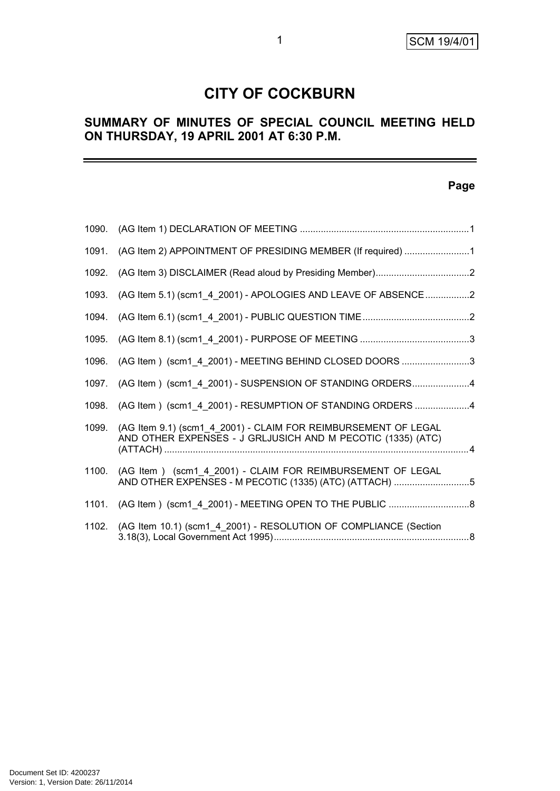# **CITY OF COCKBURN**

## **SUMMARY OF MINUTES OF SPECIAL COUNCIL MEETING HELD ON THURSDAY, 19 APRIL 2001 AT 6:30 P.M.**

#### **Page**

-

| 1091. | (AG Item 2) APPOINTMENT OF PRESIDING MEMBER (If required) 1                                                                   |  |
|-------|-------------------------------------------------------------------------------------------------------------------------------|--|
| 1092. |                                                                                                                               |  |
| 1093. | (AG Item 5.1) (scm1_4_2001) - APOLOGIES AND LEAVE OF ABSENCE2                                                                 |  |
| 1094. |                                                                                                                               |  |
| 1095. |                                                                                                                               |  |
| 1096. | (AG Item) (scm1_4_2001) - MEETING BEHIND CLOSED DOORS 3                                                                       |  |
| 1097. | (AG Item) (scm1_4_2001) - SUSPENSION OF STANDING ORDERS4                                                                      |  |
| 1098. | (AG Item) (scm1_4_2001) - RESUMPTION OF STANDING ORDERS 4                                                                     |  |
| 1099. | (AG Item 9.1) (scm1 4 2001) - CLAIM FOR REIMBURSEMENT OF LEGAL<br>AND OTHER EXPENSES - J GRLJUSICH AND M PECOTIC (1335) (ATC) |  |
|       | 1100. (AG Item ) (scm1_4_2001) - CLAIM FOR REIMBURSEMENT OF LEGAL<br>AND OTHER EXPENSES - M PECOTIC (1335) (ATC) (ATTACH) 5   |  |
| 1101. |                                                                                                                               |  |
| 1102. | (AG Item 10.1) (scm1 4 2001) - RESOLUTION OF COMPLIANCE (Section                                                              |  |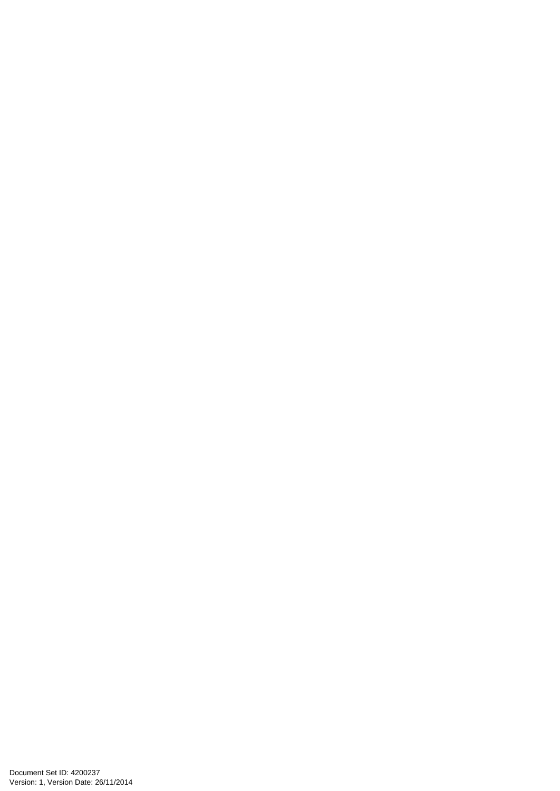Document Set ID: 4200237<br>Version: 1, Version Date: 26/11/2014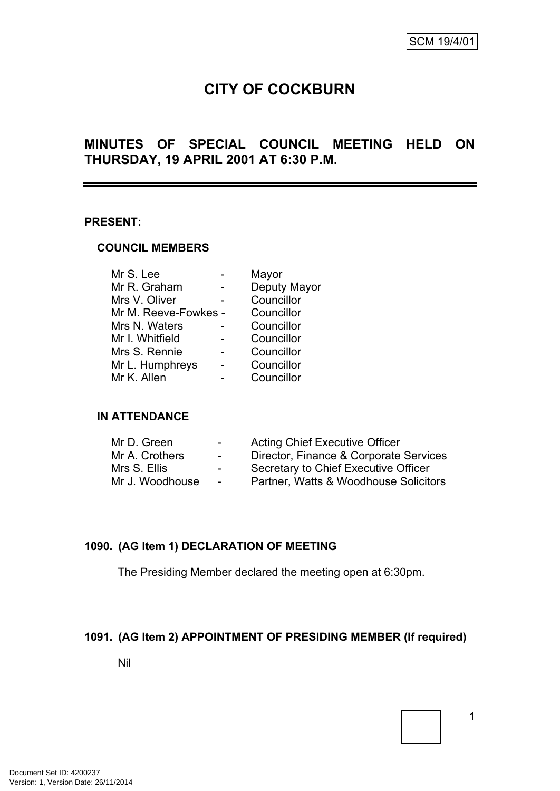# **CITY OF COCKBURN**

## **MINUTES OF SPECIAL COUNCIL MEETING HELD ON THURSDAY, 19 APRIL 2001 AT 6:30 P.M.**

#### **PRESENT:**

#### **COUNCIL MEMBERS**

| Mr S. Lee            | Mayor        |
|----------------------|--------------|
| Mr R. Graham         | Deputy Mayor |
| Mrs V. Oliver        | Councillor   |
| Mr M. Reeve-Fowkes - | Councillor   |
| Mrs N. Waters        | Councillor   |
| Mr I. Whitfield      | Councillor   |
| Mrs S. Rennie        | Councillor   |
| Mr L. Humphreys      | Councillor   |
| Mr K. Allen          | Councillor   |
|                      |              |

### **IN ATTENDANCE**

| Mr D. Green     | $\sim$ 100 $\mu$ | <b>Acting Chief Executive Officer</b>  |
|-----------------|------------------|----------------------------------------|
| Mr A. Crothers  | $\sim$           | Director, Finance & Corporate Services |
| Mrs S. Ellis    | $\blacksquare$   | Secretary to Chief Executive Officer   |
| Mr J. Woodhouse | $\sim$           | Partner, Watts & Woodhouse Solicitors  |
|                 |                  |                                        |

### <span id="page-2-0"></span>**1090. (AG Item 1) DECLARATION OF MEETING**

The Presiding Member declared the meeting open at 6:30pm.

### <span id="page-2-1"></span>**1091. (AG Item 2) APPOINTMENT OF PRESIDING MEMBER (If required)**

Nil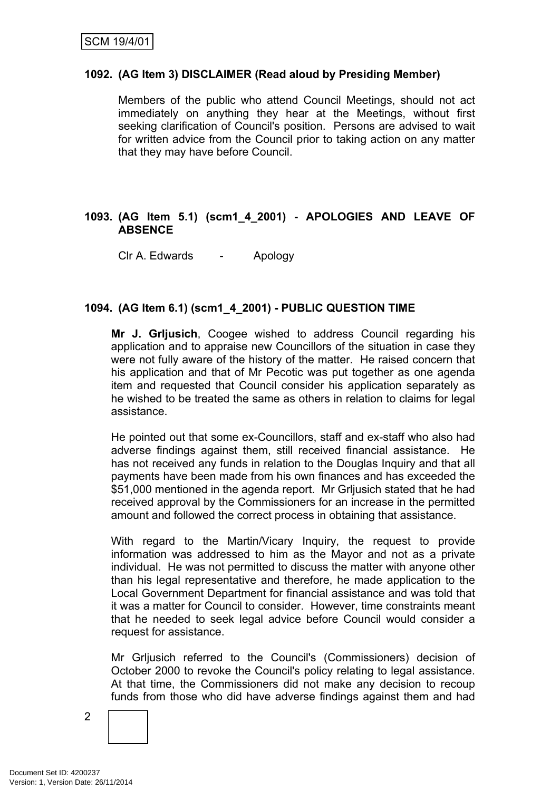### <span id="page-3-0"></span>**1092. (AG Item 3) DISCLAIMER (Read aloud by Presiding Member)**

Members of the public who attend Council Meetings, should not act immediately on anything they hear at the Meetings, without first seeking clarification of Council's position. Persons are advised to wait for written advice from the Council prior to taking action on any matter that they may have before Council.

### <span id="page-3-1"></span>**1093. (AG Item 5.1) (scm1\_4\_2001) - APOLOGIES AND LEAVE OF ABSENCE**

Clr A. Edwards - Apology

### <span id="page-3-2"></span>**1094. (AG Item 6.1) (scm1\_4\_2001) - PUBLIC QUESTION TIME**

**Mr J. Grljusich**, Coogee wished to address Council regarding his application and to appraise new Councillors of the situation in case they were not fully aware of the history of the matter. He raised concern that his application and that of Mr Pecotic was put together as one agenda item and requested that Council consider his application separately as he wished to be treated the same as others in relation to claims for legal assistance.

He pointed out that some ex-Councillors, staff and ex-staff who also had adverse findings against them, still received financial assistance. He has not received any funds in relation to the Douglas Inquiry and that all payments have been made from his own finances and has exceeded the \$51,000 mentioned in the agenda report. Mr Grljusich stated that he had received approval by the Commissioners for an increase in the permitted amount and followed the correct process in obtaining that assistance.

With regard to the Martin/Vicary Inquiry, the request to provide information was addressed to him as the Mayor and not as a private individual. He was not permitted to discuss the matter with anyone other than his legal representative and therefore, he made application to the Local Government Department for financial assistance and was told that it was a matter for Council to consider. However, time constraints meant that he needed to seek legal advice before Council would consider a request for assistance.

Mr Grljusich referred to the Council's (Commissioners) decision of October 2000 to revoke the Council's policy relating to legal assistance. At that time, the Commissioners did not make any decision to recoup funds from those who did have adverse findings against them and had

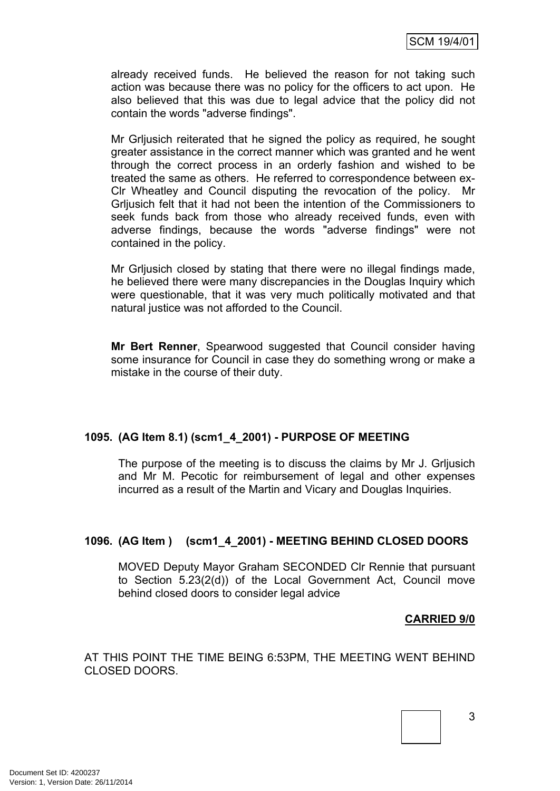already received funds. He believed the reason for not taking such action was because there was no policy for the officers to act upon. He also believed that this was due to legal advice that the policy did not contain the words "adverse findings".

Mr Grljusich reiterated that he signed the policy as required, he sought greater assistance in the correct manner which was granted and he went through the correct process in an orderly fashion and wished to be treated the same as others. He referred to correspondence between ex-Clr Wheatley and Council disputing the revocation of the policy. Mr Grljusich felt that it had not been the intention of the Commissioners to seek funds back from those who already received funds, even with adverse findings, because the words "adverse findings" were not contained in the policy.

Mr Grljusich closed by stating that there were no illegal findings made, he believed there were many discrepancies in the Douglas Inquiry which were questionable, that it was very much politically motivated and that natural justice was not afforded to the Council.

**Mr Bert Renner**, Spearwood suggested that Council consider having some insurance for Council in case they do something wrong or make a mistake in the course of their duty.

### <span id="page-4-0"></span>**1095. (AG Item 8.1) (scm1\_4\_2001) - PURPOSE OF MEETING**

The purpose of the meeting is to discuss the claims by Mr J. Grljusich and Mr M. Pecotic for reimbursement of legal and other expenses incurred as a result of the Martin and Vicary and Douglas Inquiries.

### <span id="page-4-1"></span>**1096. (AG Item ) (scm1\_4\_2001) - MEETING BEHIND CLOSED DOORS**

MOVED Deputy Mayor Graham SECONDED Clr Rennie that pursuant to Section 5.23(2(d)) of the Local Government Act, Council move behind closed doors to consider legal advice

### **CARRIED 9/0**

AT THIS POINT THE TIME BEING 6:53PM, THE MEETING WENT BEHIND CLOSED DOORS.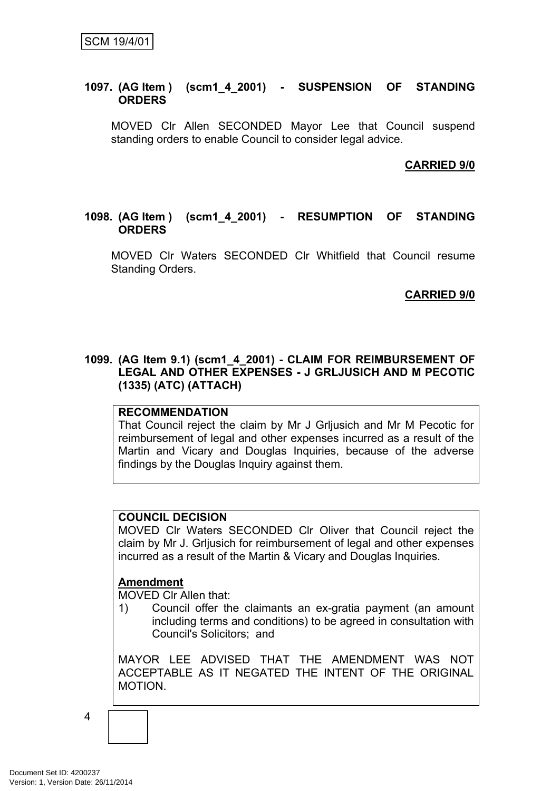### <span id="page-5-0"></span>**1097. (AG Item ) (scm1\_4\_2001) - SUSPENSION OF STANDING ORDERS**

MOVED Clr Allen SECONDED Mayor Lee that Council suspend standing orders to enable Council to consider legal advice.

### **CARRIED 9/0**

#### <span id="page-5-1"></span>**1098. (AG Item ) (scm1\_4\_2001) - RESUMPTION OF STANDING ORDERS**

MOVED Clr Waters SECONDED Clr Whitfield that Council resume Standing Orders.

#### **CARRIED 9/0**

### <span id="page-5-2"></span>**1099. (AG Item 9.1) (scm1\_4\_2001) - CLAIM FOR REIMBURSEMENT OF LEGAL AND OTHER EXPENSES - J GRLJUSICH AND M PECOTIC (1335) (ATC) (ATTACH)**

#### **RECOMMENDATION**

That Council reject the claim by Mr J Grljusich and Mr M Pecotic for reimbursement of legal and other expenses incurred as a result of the Martin and Vicary and Douglas Inquiries, because of the adverse findings by the Douglas Inquiry against them.

#### **COUNCIL DECISION**

MOVED Clr Waters SECONDED Clr Oliver that Council reject the claim by Mr J. Grljusich for reimbursement of legal and other expenses incurred as a result of the Martin & Vicary and Douglas Inquiries.

#### **Amendment**

MOVED Clr Allen that:

1) Council offer the claimants an ex-gratia payment (an amount including terms and conditions) to be agreed in consultation with Council's Solicitors; and

MAYOR LEE ADVISED THAT THE AMENDMENT WAS NOT ACCEPTABLE AS IT NEGATED THE INTENT OF THE ORIGINAL **MOTION**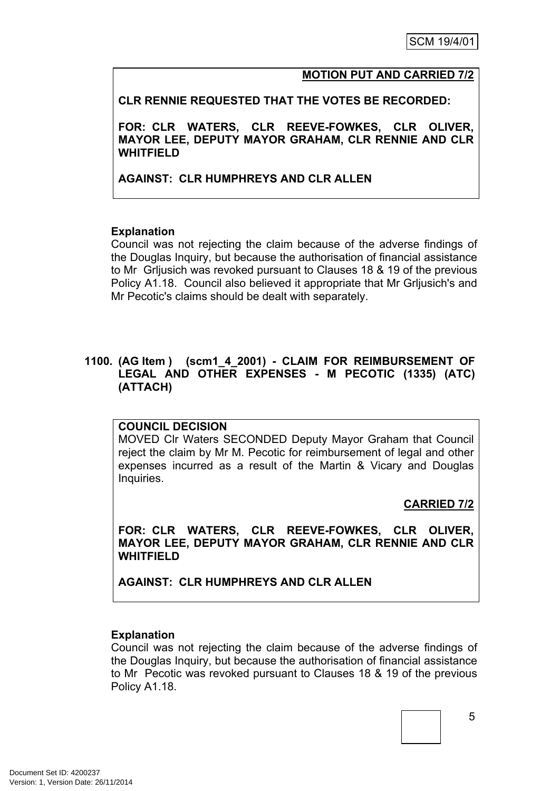### **MOTION PUT AND CARRIED 7/2**

**CLR RENNIE REQUESTED THAT THE VOTES BE RECORDED:**

**FOR: CLR WATERS, CLR REEVE-FOWKES, CLR OLIVER, MAYOR LEE, DEPUTY MAYOR GRAHAM, CLR RENNIE AND CLR WHITFIELD**

**AGAINST: CLR HUMPHREYS AND CLR ALLEN**

### **Explanation**

Council was not rejecting the claim because of the adverse findings of the Douglas Inquiry, but because the authorisation of financial assistance to Mr Grljusich was revoked pursuant to Clauses 18 & 19 of the previous Policy A1.18. Council also believed it appropriate that Mr Grljusich's and Mr Pecotic's claims should be dealt with separately.

### <span id="page-6-0"></span>**1100. (AG Item ) (scm1\_4\_2001) - CLAIM FOR REIMBURSEMENT OF LEGAL AND OTHER EXPENSES - M PECOTIC (1335) (ATC) (ATTACH)**

### **COUNCIL DECISION**

MOVED Clr Waters SECONDED Deputy Mayor Graham that Council reject the claim by Mr M. Pecotic for reimbursement of legal and other expenses incurred as a result of the Martin & Vicary and Douglas Inquiries.

### **CARRIED 7/2**

**FOR: CLR WATERS, CLR REEVE-FOWKES, CLR OLIVER, MAYOR LEE, DEPUTY MAYOR GRAHAM, CLR RENNIE AND CLR WHITFIELD**

**AGAINST: CLR HUMPHREYS AND CLR ALLEN**

### **Explanation**

Council was not rejecting the claim because of the adverse findings of the Douglas Inquiry, but because the authorisation of financial assistance to Mr Pecotic was revoked pursuant to Clauses 18 & 19 of the previous Policy A1.18.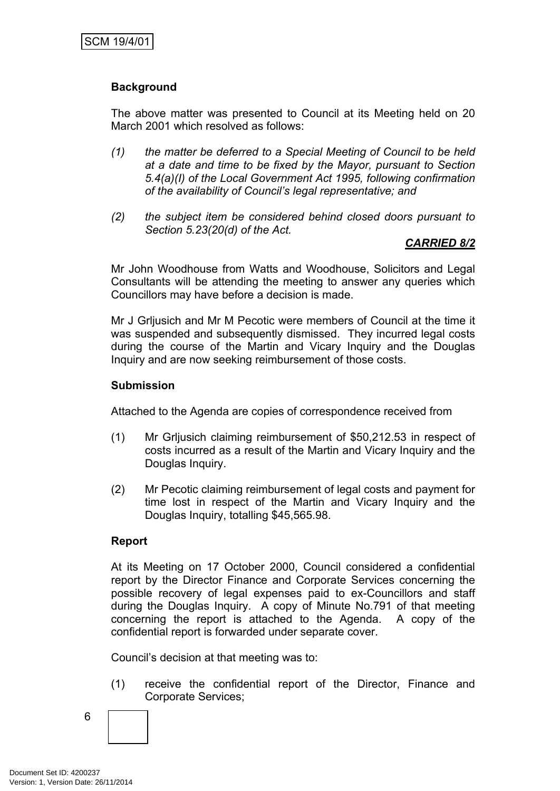### **Background**

The above matter was presented to Council at its Meeting held on 20 March 2001 which resolved as follows:

- *(1) the matter be deferred to a Special Meeting of Council to be held at a date and time to be fixed by the Mayor, pursuant to Section 5.4(a)(I) of the Local Government Act 1995, following confirmation of the availability of Council's legal representative; and*
- *(2) the subject item be considered behind closed doors pursuant to Section 5.23(20(d) of the Act.*

### *CARRIED 8/2*

Mr John Woodhouse from Watts and Woodhouse, Solicitors and Legal Consultants will be attending the meeting to answer any queries which Councillors may have before a decision is made.

Mr J Grljusich and Mr M Pecotic were members of Council at the time it was suspended and subsequently dismissed. They incurred legal costs during the course of the Martin and Vicary Inquiry and the Douglas Inquiry and are now seeking reimbursement of those costs.

#### **Submission**

Attached to the Agenda are copies of correspondence received from

- (1) Mr Grljusich claiming reimbursement of \$50,212.53 in respect of costs incurred as a result of the Martin and Vicary Inquiry and the Douglas Inquiry.
- (2) Mr Pecotic claiming reimbursement of legal costs and payment for time lost in respect of the Martin and Vicary Inquiry and the Douglas Inquiry, totalling \$45,565.98.

### **Report**

At its Meeting on 17 October 2000, Council considered a confidential report by the Director Finance and Corporate Services concerning the possible recovery of legal expenses paid to ex-Councillors and staff during the Douglas Inquiry. A copy of Minute No.791 of that meeting concerning the report is attached to the Agenda. A copy of the confidential report is forwarded under separate cover.

Council's decision at that meeting was to:

(1) receive the confidential report of the Director, Finance and Corporate Services;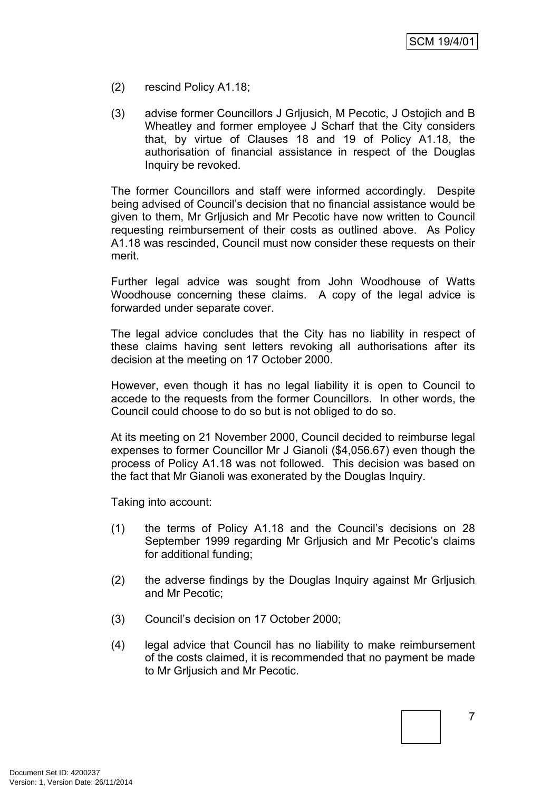- (2) rescind Policy A1.18;
- (3) advise former Councillors J Grljusich, M Pecotic, J Ostojich and B Wheatley and former employee J Scharf that the City considers that, by virtue of Clauses 18 and 19 of Policy A1.18, the authorisation of financial assistance in respect of the Douglas Inquiry be revoked.

The former Councillors and staff were informed accordingly. Despite being advised of Council's decision that no financial assistance would be given to them, Mr Grljusich and Mr Pecotic have now written to Council requesting reimbursement of their costs as outlined above. As Policy A1.18 was rescinded, Council must now consider these requests on their merit.

Further legal advice was sought from John Woodhouse of Watts Woodhouse concerning these claims. A copy of the legal advice is forwarded under separate cover.

The legal advice concludes that the City has no liability in respect of these claims having sent letters revoking all authorisations after its decision at the meeting on 17 October 2000.

However, even though it has no legal liability it is open to Council to accede to the requests from the former Councillors. In other words, the Council could choose to do so but is not obliged to do so.

At its meeting on 21 November 2000, Council decided to reimburse legal expenses to former Councillor Mr J Gianoli (\$4,056.67) even though the process of Policy A1.18 was not followed. This decision was based on the fact that Mr Gianoli was exonerated by the Douglas Inquiry.

Taking into account:

- (1) the terms of Policy A1.18 and the Council's decisions on 28 September 1999 regarding Mr Grljusich and Mr Pecotic's claims for additional funding;
- (2) the adverse findings by the Douglas Inquiry against Mr Grljusich and Mr Pecotic;
- (3) Council's decision on 17 October 2000;
- (4) legal advice that Council has no liability to make reimbursement of the costs claimed, it is recommended that no payment be made to Mr Grljusich and Mr Pecotic.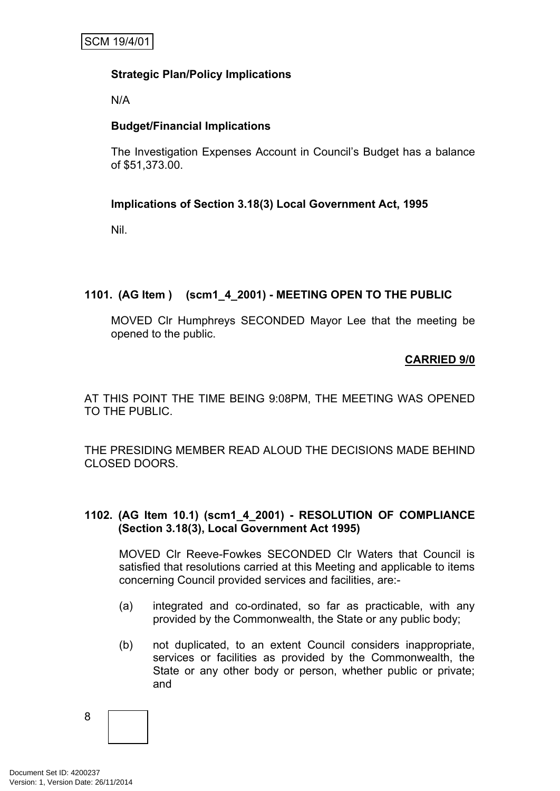### **Strategic Plan/Policy Implications**

N/A

### **Budget/Financial Implications**

The Investigation Expenses Account in Council's Budget has a balance of \$51,373.00.

### **Implications of Section 3.18(3) Local Government Act, 1995**

Nil.

### <span id="page-9-0"></span>**1101. (AG Item ) (scm1\_4\_2001) - MEETING OPEN TO THE PUBLIC**

MOVED Clr Humphreys SECONDED Mayor Lee that the meeting be opened to the public.

### **CARRIED 9/0**

AT THIS POINT THE TIME BEING 9:08PM, THE MEETING WAS OPENED TO THE PUBLIC.

THE PRESIDING MEMBER READ ALOUD THE DECISIONS MADE BEHIND CLOSED DOORS.

### <span id="page-9-1"></span>**1102. (AG Item 10.1) (scm1\_4\_2001) - RESOLUTION OF COMPLIANCE (Section 3.18(3), Local Government Act 1995)**

MOVED Clr Reeve-Fowkes SECONDED Clr Waters that Council is satisfied that resolutions carried at this Meeting and applicable to items concerning Council provided services and facilities, are:-

- (a) integrated and co-ordinated, so far as practicable, with any provided by the Commonwealth, the State or any public body;
- (b) not duplicated, to an extent Council considers inappropriate, services or facilities as provided by the Commonwealth, the State or any other body or person, whether public or private; and